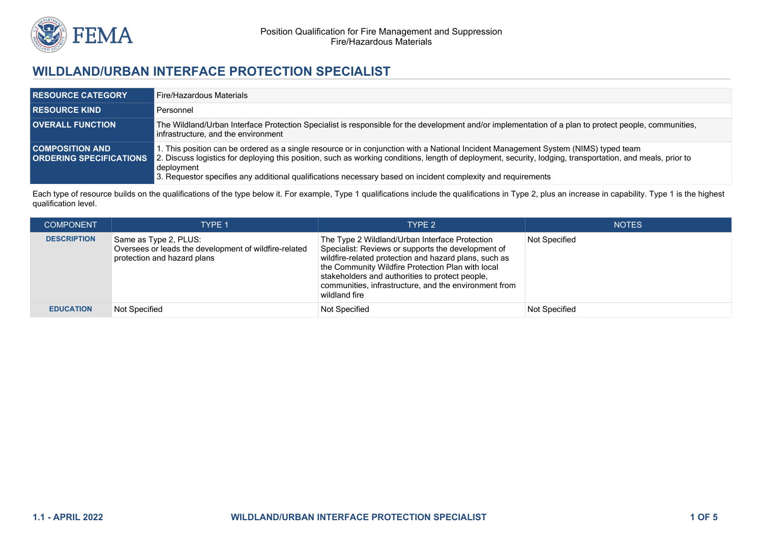

# **WILDLAND/URBAN INTERFACE PROTECTION SPECIALIST**

| <b>RESOURCE CATEGORY</b> | Fire/Hazardous Materials                                                                                                                                                                                                                                                                                                                                                                                                                                       |
|--------------------------|----------------------------------------------------------------------------------------------------------------------------------------------------------------------------------------------------------------------------------------------------------------------------------------------------------------------------------------------------------------------------------------------------------------------------------------------------------------|
| <b>RESOURCE KIND</b>     | Personnel                                                                                                                                                                                                                                                                                                                                                                                                                                                      |
| <b>OVERALL FUNCTION</b>  | The Wildland/Urban Interface Protection Specialist is responsible for the development and/or implementation of a plan to protect people, communities,<br>Infrastructure, and the environment                                                                                                                                                                                                                                                                   |
| <b>COMPOSITION AND .</b> | 1. This position can be ordered as a single resource or in conjunction with a National Incident Management System (NIMS) typed team<br><b>ORDERING SPECIFICATIONS</b> 2. Discuss logistics for deploying this position, such as working conditions, length of deployment, security, lodging, transportation, and meals, prior to<br>deployment<br>3. Requestor specifies any additional qualifications necessary based on incident complexity and requirements |

Each type of resource builds on the qualifications of the type below it. For example, Type 1 qualifications include the qualifications in Type 2, plus an increase in capability. Type 1 is the highest qualification level.

| <b>COMPONENT</b>   | <b>TYPE 1</b>                                                                                                 | TYPE 2                                                                                                                                                                                                                                                                                                                                          | <b>NOTES</b>  |
|--------------------|---------------------------------------------------------------------------------------------------------------|-------------------------------------------------------------------------------------------------------------------------------------------------------------------------------------------------------------------------------------------------------------------------------------------------------------------------------------------------|---------------|
| <b>DESCRIPTION</b> | Same as Type 2, PLUS:<br>Oversees or leads the development of wildfire-related<br>protection and hazard plans | The Type 2 Wildland/Urban Interface Protection<br>Specialist: Reviews or supports the development of<br>wildfire-related protection and hazard plans, such as<br>the Community Wildfire Protection Plan with local<br>stakeholders and authorities to protect people,<br>communities, infrastructure, and the environment from<br>wildland fire | Not Specified |
| <b>EDUCATION</b>   | Not Specified                                                                                                 | <b>Not Specified</b>                                                                                                                                                                                                                                                                                                                            | Not Specified |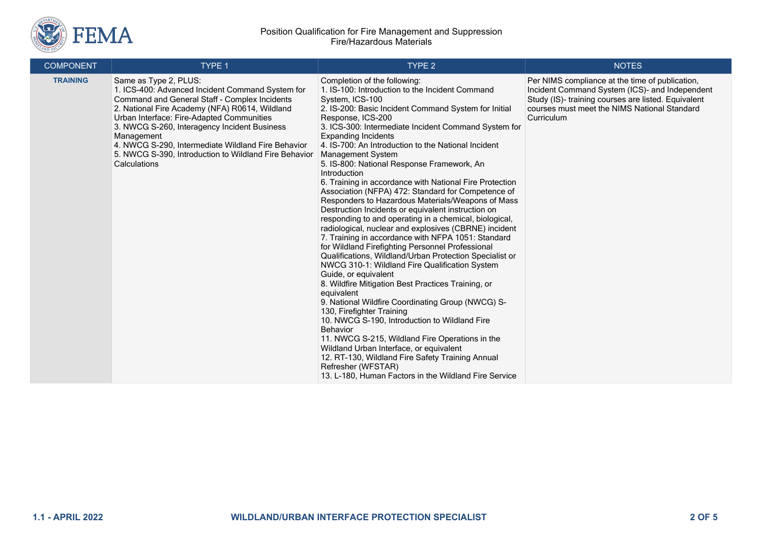

#### Position Qualification for Fire Management and Suppression Fire/Hazardous Materials

| <b>COMPONENT</b> | TYPE 1                                                                                                                                                                                                                                                                                                                                                                                                                 | <b>TYPE 2</b>                                                                                                                                                                                                                                                                                                                                                                                                                                                                                                                                                                                                                                                                                                                                                                                                                                                                                                                                                                                                                                                                                                                                                                                                                                                                                                                                                                                                                                                                   | <b>NOTES</b>                                                                                                                                                                                                           |
|------------------|------------------------------------------------------------------------------------------------------------------------------------------------------------------------------------------------------------------------------------------------------------------------------------------------------------------------------------------------------------------------------------------------------------------------|---------------------------------------------------------------------------------------------------------------------------------------------------------------------------------------------------------------------------------------------------------------------------------------------------------------------------------------------------------------------------------------------------------------------------------------------------------------------------------------------------------------------------------------------------------------------------------------------------------------------------------------------------------------------------------------------------------------------------------------------------------------------------------------------------------------------------------------------------------------------------------------------------------------------------------------------------------------------------------------------------------------------------------------------------------------------------------------------------------------------------------------------------------------------------------------------------------------------------------------------------------------------------------------------------------------------------------------------------------------------------------------------------------------------------------------------------------------------------------|------------------------------------------------------------------------------------------------------------------------------------------------------------------------------------------------------------------------|
| <b>TRAINING</b>  | Same as Type 2, PLUS:<br>1. ICS-400: Advanced Incident Command System for<br>Command and General Staff - Complex Incidents<br>2. National Fire Academy (NFA) R0614, Wildland<br>Urban Interface: Fire-Adapted Communities<br>3. NWCG S-260, Interagency Incident Business<br>Management<br>4. NWCG S-290, Intermediate Wildland Fire Behavior<br>5. NWCG S-390, Introduction to Wildland Fire Behavior<br>Calculations | Completion of the following:<br>1. IS-100: Introduction to the Incident Command<br>System, ICS-100<br>2. IS-200: Basic Incident Command System for Initial<br>Response, ICS-200<br>3. ICS-300: Intermediate Incident Command System for<br><b>Expanding Incidents</b><br>4. IS-700: An Introduction to the National Incident<br><b>Management System</b><br>5. IS-800: National Response Framework, An<br>Introduction<br>6. Training in accordance with National Fire Protection<br>Association (NFPA) 472: Standard for Competence of<br>Responders to Hazardous Materials/Weapons of Mass<br>Destruction Incidents or equivalent instruction on<br>responding to and operating in a chemical, biological,<br>radiological, nuclear and explosives (CBRNE) incident<br>7. Training in accordance with NFPA 1051: Standard<br>for Wildland Firefighting Personnel Professional<br>Qualifications, Wildland/Urban Protection Specialist or<br>NWCG 310-1: Wildland Fire Qualification System<br>Guide, or equivalent<br>8. Wildfire Mitigation Best Practices Training, or<br>equivalent<br>9. National Wildfire Coordinating Group (NWCG) S-<br>130, Firefighter Training<br>10. NWCG S-190, Introduction to Wildland Fire<br><b>Behavior</b><br>11. NWCG S-215, Wildland Fire Operations in the<br>Wildland Urban Interface, or equivalent<br>12. RT-130, Wildland Fire Safety Training Annual<br>Refresher (WFSTAR)<br>13. L-180, Human Factors in the Wildland Fire Service | Per NIMS compliance at the time of publication,<br>Incident Command System (ICS)- and Independent<br>Study (IS)- training courses are listed. Equivalent<br>courses must meet the NIMS National Standard<br>Curriculum |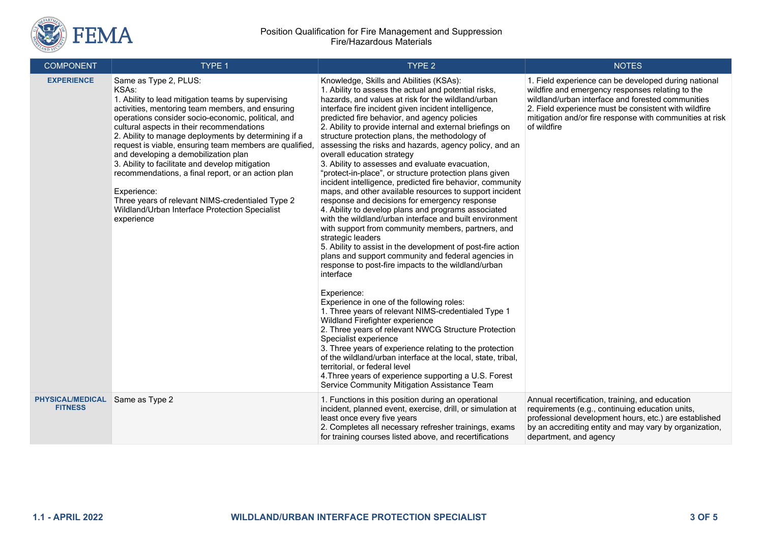

| <b>COMPONENT</b>                          | TYPE 1                                                                                                                                                                                                                                                                                                                                                                                                                                                                                                                                                                                                                                                          | TYPE <sub>2</sub>                                                                                                                                                                                                                                                                                                                                                                                                                                                                                                                                                                                                                                                                                                                                                                                                                                                                                                                                                                                                                                                                                                                                                                                                                                                                                                                                                                                                                                                                                                                                                                                                                                             | <b>NOTES</b>                                                                                                                                                                                                                                                                                     |
|-------------------------------------------|-----------------------------------------------------------------------------------------------------------------------------------------------------------------------------------------------------------------------------------------------------------------------------------------------------------------------------------------------------------------------------------------------------------------------------------------------------------------------------------------------------------------------------------------------------------------------------------------------------------------------------------------------------------------|---------------------------------------------------------------------------------------------------------------------------------------------------------------------------------------------------------------------------------------------------------------------------------------------------------------------------------------------------------------------------------------------------------------------------------------------------------------------------------------------------------------------------------------------------------------------------------------------------------------------------------------------------------------------------------------------------------------------------------------------------------------------------------------------------------------------------------------------------------------------------------------------------------------------------------------------------------------------------------------------------------------------------------------------------------------------------------------------------------------------------------------------------------------------------------------------------------------------------------------------------------------------------------------------------------------------------------------------------------------------------------------------------------------------------------------------------------------------------------------------------------------------------------------------------------------------------------------------------------------------------------------------------------------|--------------------------------------------------------------------------------------------------------------------------------------------------------------------------------------------------------------------------------------------------------------------------------------------------|
| <b>EXPERIENCE</b>                         | Same as Type 2, PLUS:<br>KSA <sub>s</sub> :<br>1. Ability to lead mitigation teams by supervising<br>activities, mentoring team members, and ensuring<br>operations consider socio-economic, political, and<br>cultural aspects in their recommendations<br>2. Ability to manage deployments by determining if a<br>request is viable, ensuring team members are qualified,<br>and developing a demobilization plan<br>3. Ability to facilitate and develop mitigation<br>recommendations, a final report, or an action plan<br>Experience:<br>Three years of relevant NIMS-credentialed Type 2<br>Wildland/Urban Interface Protection Specialist<br>experience | Knowledge, Skills and Abilities (KSAs):<br>1. Ability to assess the actual and potential risks,<br>hazards, and values at risk for the wildland/urban<br>interface fire incident given incident intelligence,<br>predicted fire behavior, and agency policies<br>2. Ability to provide internal and external briefings on<br>structure protection plans, the methodology of<br>assessing the risks and hazards, agency policy, and an<br>overall education strategy<br>3. Ability to assesses and evaluate evacuation,<br>"protect-in-place", or structure protection plans given<br>incident intelligence, predicted fire behavior, community<br>maps, and other available resources to support incident<br>response and decisions for emergency response<br>4. Ability to develop plans and programs associated<br>with the wildland/urban interface and built environment<br>with support from community members, partners, and<br>strategic leaders<br>5. Ability to assist in the development of post-fire action<br>plans and support community and federal agencies in<br>response to post-fire impacts to the wildland/urban<br>interface<br>Experience:<br>Experience in one of the following roles:<br>1. Three years of relevant NIMS-credentialed Type 1<br>Wildland Firefighter experience<br>2. Three years of relevant NWCG Structure Protection<br>Specialist experience<br>3. Three years of experience relating to the protection<br>of the wildland/urban interface at the local, state, tribal,<br>territorial, or federal level<br>4. Three years of experience supporting a U.S. Forest<br>Service Community Mitigation Assistance Team | 1. Field experience can be developed during national<br>wildfire and emergency responses relating to the<br>wildland/urban interface and forested communities<br>2. Field experience must be consistent with wildfire<br>mitigation and/or fire response with communities at risk<br>of wildfire |
| <b>PHYSICAL/MEDICAL</b><br><b>FITNESS</b> | Same as Type 2                                                                                                                                                                                                                                                                                                                                                                                                                                                                                                                                                                                                                                                  | 1. Functions in this position during an operational<br>incident, planned event, exercise, drill, or simulation at<br>least once every five years<br>2. Completes all necessary refresher trainings, exams<br>for training courses listed above, and recertifications                                                                                                                                                                                                                                                                                                                                                                                                                                                                                                                                                                                                                                                                                                                                                                                                                                                                                                                                                                                                                                                                                                                                                                                                                                                                                                                                                                                          | Annual recertification, training, and education<br>requirements (e.g., continuing education units,<br>professional development hours, etc.) are established<br>by an accrediting entity and may vary by organization,<br>department, and agency                                                  |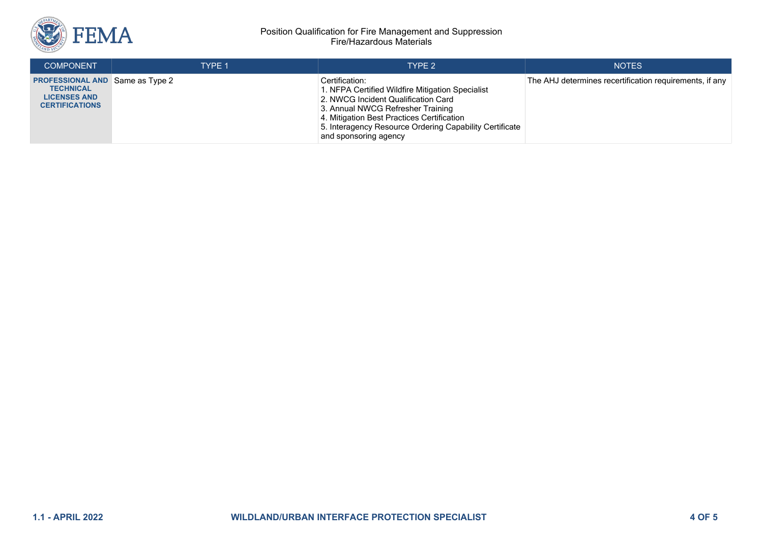

#### Position Qualification for Fire Management and Suppression Fire/Hazardous Materials

| <b>COMPONENT</b>                                                                                           | <b>TYPE 1</b> | TYPF <sub>2</sub>                                                                                                                                                                                                                                                                | <b>NOTES</b>                                            |
|------------------------------------------------------------------------------------------------------------|---------------|----------------------------------------------------------------------------------------------------------------------------------------------------------------------------------------------------------------------------------------------------------------------------------|---------------------------------------------------------|
| <b>PROFESSIONAL AND Same as Type 2</b><br><b>TECHNICAL</b><br><b>LICENSES AND</b><br><b>CERTIFICATIONS</b> |               | Certification:<br>1. NFPA Certified Wildfire Mitigation Specialist<br>2. NWCG Incident Qualification Card<br>3. Annual NWCG Refresher Training<br>4. Mitigation Best Practices Certification<br>5. Interagency Resource Ordering Capability Certificate<br>and sponsoring agency | The AHJ determines recertification requirements, if any |